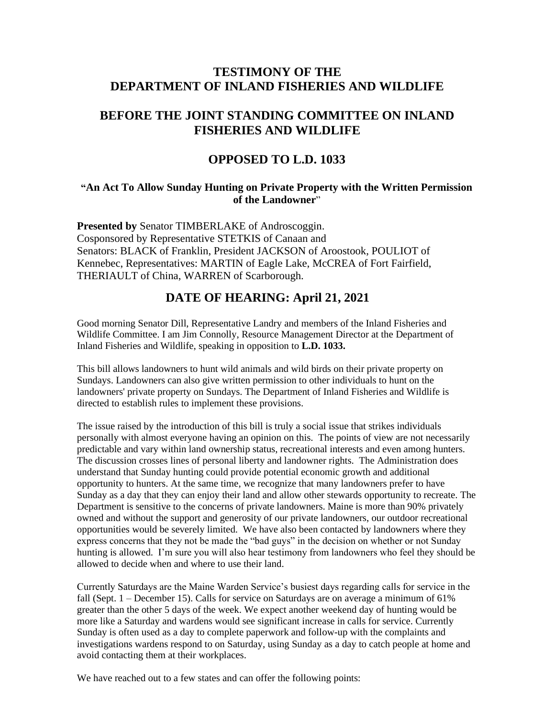# **TESTIMONY OF THE DEPARTMENT OF INLAND FISHERIES AND WILDLIFE**

## **BEFORE THE JOINT STANDING COMMITTEE ON INLAND FISHERIES AND WILDLIFE**

### **OPPOSED TO L.D. 1033**

#### **"An Act To Allow Sunday Hunting on Private Property with the Written Permission of the Landowner**"

**Presented by** Senator TIMBERLAKE of Androscoggin. Cosponsored by Representative STETKIS of Canaan and Senators: BLACK of Franklin, President JACKSON of Aroostook, POULIOT of Kennebec, Representatives: MARTIN of Eagle Lake, McCREA of Fort Fairfield, THERIAULT of China, WARREN of Scarborough.

# **DATE OF HEARING: April 21, 2021**

Good morning Senator Dill, Representative Landry and members of the Inland Fisheries and Wildlife Committee. I am Jim Connolly, Resource Management Director at the Department of Inland Fisheries and Wildlife, speaking in opposition to **L.D. 1033.**

This bill allows landowners to hunt wild animals and wild birds on their private property on Sundays. Landowners can also give written permission to other individuals to hunt on the landowners' private property on Sundays. The Department of Inland Fisheries and Wildlife is directed to establish rules to implement these provisions.

The issue raised by the introduction of this bill is truly a social issue that strikes individuals personally with almost everyone having an opinion on this. The points of view are not necessarily predictable and vary within land ownership status, recreational interests and even among hunters. The discussion crosses lines of personal liberty and landowner rights. The Administration does understand that Sunday hunting could provide potential economic growth and additional opportunity to hunters. At the same time, we recognize that many landowners prefer to have Sunday as a day that they can enjoy their land and allow other stewards opportunity to recreate. The Department is sensitive to the concerns of private landowners. Maine is more than 90% privately owned and without the support and generosity of our private landowners, our outdoor recreational opportunities would be severely limited. We have also been contacted by landowners where they express concerns that they not be made the "bad guys" in the decision on whether or not Sunday hunting is allowed. I'm sure you will also hear testimony from landowners who feel they should be allowed to decide when and where to use their land.

Currently Saturdays are the Maine Warden Service's busiest days regarding calls for service in the fall (Sept. 1 – December 15). Calls for service on Saturdays are on average a minimum of 61% greater than the other 5 days of the week. We expect another weekend day of hunting would be more like a Saturday and wardens would see significant increase in calls for service. Currently Sunday is often used as a day to complete paperwork and follow-up with the complaints and investigations wardens respond to on Saturday, using Sunday as a day to catch people at home and avoid contacting them at their workplaces.

We have reached out to a few states and can offer the following points: